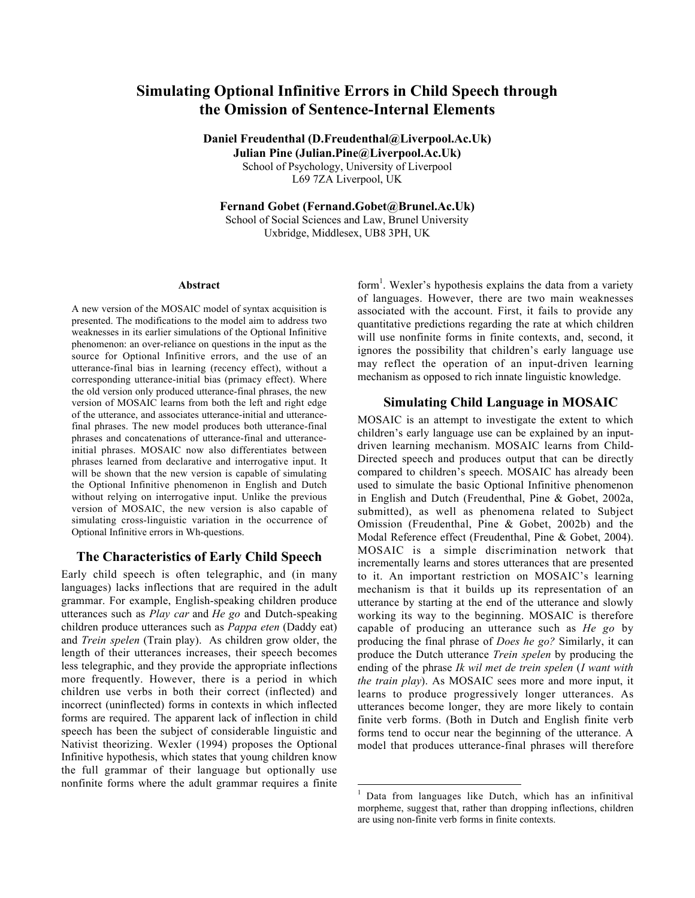# Simulating Optional Infinitive Errors in Child Speech through the Omission of Sentence-Internal Elements

Daniel Freudenthal (D.Freudenthal@Liverpool.Ac.Uk) Julian Pine (Julian.Pine@Liverpool.Ac.Uk) School of Psychology, University of Liverpool L69 7ZA Liverpool, UK

Fernand Gobet (Fernand.Gobet@Brunel.Ac.Uk) School of Social Sciences and Law, Brunel University Uxbridge, Middlesex, UB8 3PH, UK

#### Abstract

A new version of the MOSAIC model of syntax acquisition is presented. The modifications to the model aim to address two weaknesses in its earlier simulations of the Optional Infinitive phenomenon: an over-reliance on questions in the input as the source for Optional Infinitive errors, and the use of an utterance-final bias in learning (recency effect), without a corresponding utterance-initial bias (primacy effect). Where the old version only produced utterance-final phrases, the new version of MOSAIC learns from both the left and right edge of the utterance, and associates utterance-initial and utterancefinal phrases. The new model produces both utterance-final phrases and concatenations of utterance-final and utteranceinitial phrases. MOSAIC now also differentiates between phrases learned from declarative and interrogative input. It will be shown that the new version is capable of simulating the Optional Infinitive phenomenon in English and Dutch without relying on interrogative input. Unlike the previous version of MOSAIC, the new version is also capable of simulating cross-linguistic variation in the occurrence of Optional Infinitive errors in Wh-questions.

# The Characteristics of Early Child Speech

Early child speech is often telegraphic, and (in many languages) lacks inflections that are required in the adult grammar. For example, English-speaking children produce utterances such as *Play car* and *He go* and Dutch-speaking children produce utterances such as *Pappa eten* (Daddy eat) and *Trein spelen* (Train play). As children grow older, the length of their utterances increases, their speech becomes less telegraphic, and they provide the appropriate inflections more frequently. However, there is a period in which children use verbs in both their correct (inflected) and incorrect (uninflected) forms in contexts in which inflected forms are required. The apparent lack of inflection in child speech has been the subject of considerable linguistic and Nativist theorizing. Wexler (1994) proposes the Optional Infinitive hypothesis, which states that young children know the full grammar of their language but optionally use nonfinite forms where the adult grammar requires a finite

form<sup>1</sup>. Wexler's hypothesis explains the data from a variety of languages. However, there are two main weaknesses associated with the account. First, it fails to provide any quantitative predictions regarding the rate at which children will use nonfinite forms in finite contexts, and, second, it ignores the possibility that children's early language use may reflect the operation of an input-driven learning mechanism as opposed to rich innate linguistic knowledge.

# Simulating Child Language in MOSAIC

MOSAIC is an attempt to investigate the extent to which children's early language use can be explained by an inputdriven learning mechanism. MOSAIC learns from Child-Directed speech and produces output that can be directly compared to children's speech. MOSAIC has already been used to simulate the basic Optional Infinitive phenomenon in English and Dutch (Freudenthal, Pine & Gobet, 2002a, submitted), as well as phenomena related to Subject Omission (Freudenthal, Pine & Gobet, 2002b) and the Modal Reference effect (Freudenthal, Pine & Gobet, 2004). MOSAIC is a simple discrimination network that incrementally learns and stores utterances that are presented to it. An important restriction on MOSAIC's learning mechanism is that it builds up its representation of an utterance by starting at the end of the utterance and slowly working its way to the beginning. MOSAIC is therefore capable of producing an utterance such as *He go* by producing the final phrase of *Does he go?* Similarly, it can produce the Dutch utterance *Trein spelen* by producing the ending of the phrase *Ik wil met de trein spelen* (*I want with the train play*). As MOSAIC sees more and more input, it learns to produce progressively longer utterances. As utterances become longer, they are more likely to contain finite verb forms. (Both in Dutch and English finite verb forms tend to occur near the beginning of the utterance. A model that produces utterance-final phrases will therefore

<sup>&</sup>lt;sup>1</sup> Data from languages like Dutch, which has an infinitival morpheme, suggest that, rather than dropping inflections, children are using non-finite verb forms in finite contexts.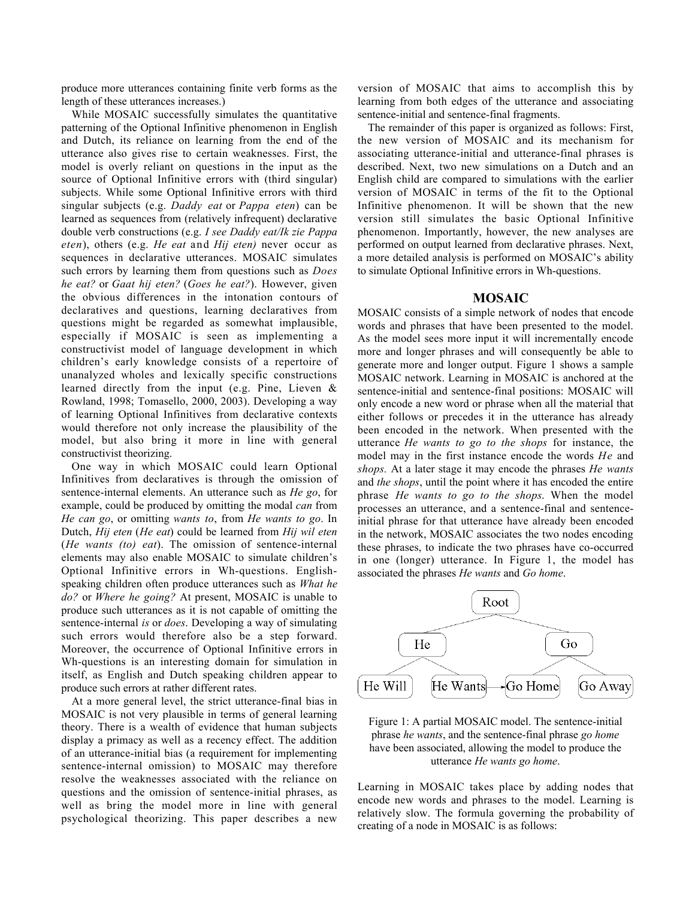produce more utterances containing finite verb forms as the length of these utterances increases.)

While MOSAIC successfully simulates the quantitative patterning of the Optional Infinitive phenomenon in English and Dutch, its reliance on learning from the end of the utterance also gives rise to certain weaknesses. First, the model is overly reliant on questions in the input as the source of Optional Infinitive errors with (third singular) subjects. While some Optional Infinitive errors with third singular subjects (e.g. *Daddy eat* or *Pappa eten*) can be learned as sequences from (relatively infrequent) declarative double verb constructions (e.g. *I see Daddy eat/Ik zie Pappa eten*), others (e.g. *He eat* and *Hij eten)* never occur as sequences in declarative utterances. MOSAIC simulates such errors by learning them from questions such as *Does he eat?* or *Gaat hij eten?* (*Goes he eat?*). However, given the obvious differences in the intonation contours of declaratives and questions, learning declaratives from questions might be regarded as somewhat implausible, especially if MOSAIC is seen as implementing a constructivist model of language development in which children's early knowledge consists of a repertoire of unanalyzed wholes and lexically specific constructions learned directly from the input (e.g. Pine, Lieven & Rowland, 1998; Tomasello, 2000, 2003). Developing a way of learning Optional Infinitives from declarative contexts would therefore not only increase the plausibility of the model, but also bring it more in line with general constructivist theorizing.

One way in which MOSAIC could learn Optional Infinitives from declaratives is through the omission of sentence-internal elements. An utterance such as *He go*, for example, could be produced by omitting the modal *can* from *He can go*, or omitting *wants to*, from *He wants to go*. In Dutch, *Hij eten* (*He eat*) could be learned from *Hij wil eten* (*He wants (to) eat*). The omission of sentence-internal elements may also enable MOSAIC to simulate children's Optional Infinitive errors in Wh-questions. Englishspeaking children often produce utterances such as *What he do?* or *Where he going?* At present, MOSAIC is unable to produce such utterances as it is not capable of omitting the sentence-internal *is* or *does*. Developing a way of simulating such errors would therefore also be a step forward. Moreover, the occurrence of Optional Infinitive errors in Wh-questions is an interesting domain for simulation in itself, as English and Dutch speaking children appear to produce such errors at rather different rates.

At a more general level, the strict utterance-final bias in MOSAIC is not very plausible in terms of general learning theory. There is a wealth of evidence that human subjects display a primacy as well as a recency effect. The addition of an utterance-initial bias (a requirement for implementing sentence-internal omission) to MOSAIC may therefore resolve the weaknesses associated with the reliance on questions and the omission of sentence-initial phrases, as well as bring the model more in line with general psychological theorizing. This paper describes a new

version of MOSAIC that aims to accomplish this by learning from both edges of the utterance and associating sentence-initial and sentence-final fragments.

The remainder of this paper is organized as follows: First, the new version of MOSAIC and its mechanism for associating utterance-initial and utterance-final phrases is described. Next, two new simulations on a Dutch and an English child are compared to simulations with the earlier version of MOSAIC in terms of the fit to the Optional Infinitive phenomenon. It will be shown that the new version still simulates the basic Optional Infinitive phenomenon. Importantly, however, the new analyses are performed on output learned from declarative phrases. Next, a more detailed analysis is performed on MOSAIC's ability to simulate Optional Infinitive errors in Wh-questions.

### MOSAIC

MOSAIC consists of a simple network of nodes that encode words and phrases that have been presented to the model. As the model sees more input it will incrementally encode more and longer phrases and will consequently be able to generate more and longer output. Figure 1 shows a sample MOSAIC network. Learning in MOSAIC is anchored at the sentence-initial and sentence-final positions: MOSAIC will only encode a new word or phrase when all the material that either follows or precedes it in the utterance has already been encoded in the network. When presented with the utterance *He wants to go to the shops* for instance, the model may in the first instance encode the words *He* and *shops.* At a later stage it may encode the phrases *He wants* and *the shops*, until the point where it has encoded the entire phrase *He wants to go to the shops*. When the model processes an utterance, and a sentence-final and sentenceinitial phrase for that utterance have already been encoded in the network, MOSAIC associates the two nodes encoding these phrases, to indicate the two phrases have co-occurred in one (longer) utterance. In Figure 1, the model has associated the phrases *He wants* and *Go home*.



Figure 1: A partial MOSAIC model. The sentence-initial phrase *he wants*, and the sentence-final phrase *go home* have been associated, allowing the model to produce the utterance *He wants go home*.

Learning in MOSAIC takes place by adding nodes that encode new words and phrases to the model. Learning is relatively slow. The formula governing the probability of creating of a node in MOSAIC is as follows: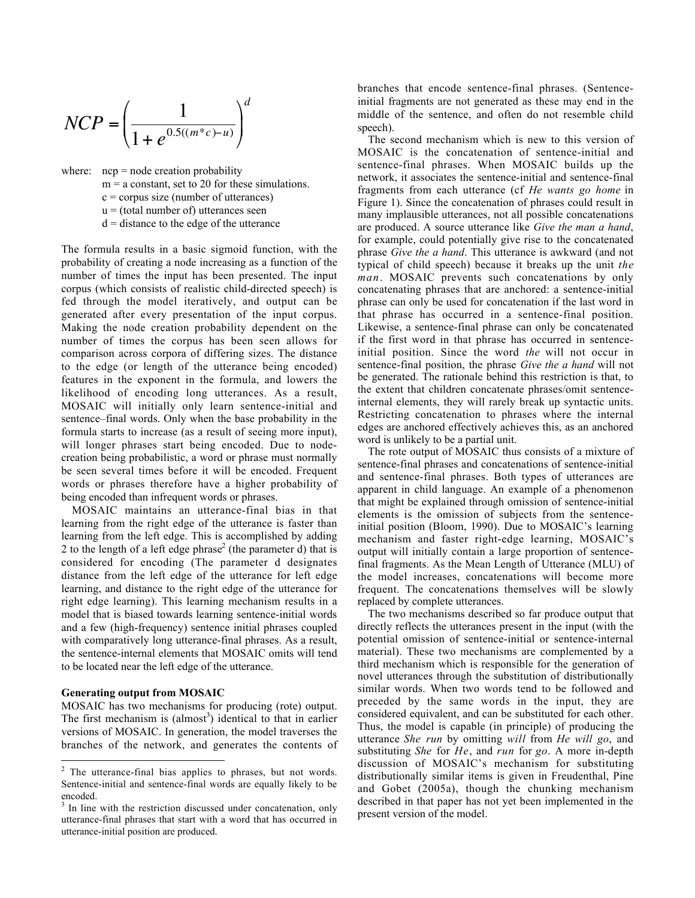$$
NCP = \left(\frac{1}{1 + e^{0.5((m^*c) - u)}}\right)^d
$$

where:  $ncp = node creation probability$  $m = a$  constant, set to 20 for these simulations.  $c =$  corpus size (number of utterances)  $u =$  (total number of) utterances seen  $d =$  distance to the edge of the utterance

The formula results in a basic sigmoid function, with the probability of creating a node increasing as a function of the number of times the input has been presented. The input corpus (which consists of realistic child-directed speech) is fed through the model iteratively, and output can be generated after every presentation of the input corpus. Making the node creation probability dependent on the number of times the corpus has been seen allows for comparison across corpora of differing sizes. The distance to the edge (or length of the utterance being encoded) features in the exponent in the formula, and lowers the likelihood of encoding long utterances. As a result, MOSAIC will initially only learn sentence-initial and sentence–final words. Only when the base probability in the formula starts to increase (as a result of seeing more input), will longer phrases start being encoded. Due to nodecreation being probabilistic, a word or phrase must normally be seen several times before it will be encoded. Frequent words or phrases therefore have a higher probability of being encoded than infrequent words or phrases.

MOSAIC maintains an utterance-final bias in that learning from the right edge of the utterance is faster than learning from the left edge. This is accomplished by adding 2 to the length of a left edge phrase<sup>2</sup> (the parameter d) that is considered for encoding (The parameter d designates distance from the left edge of the utterance for left edge learning, and distance to the right edge of the utterance for right edge learning). This learning mechanism results in a model that is biased towards learning sentence-initial words and a few (high-frequency) sentence initial phrases coupled with comparatively long utterance-final phrases. As a result, the sentence-internal elements that MOSAIC omits will tend to be located near the left edge of the utterance.

### Generating output from MOSAIC

MOSAIC has two mechanisms for producing (rote) output. The first mechanism is  $(almost^3)$  identical to that in earlier versions of MOSAIC. In generation, the model traverses the branches of the network, and generates the contents of branches that encode sentence-final phrases. (Sentenceinitial fragments are not generated as these may end in the middle of the sentence, and often do not resemble child speech).

The second mechanism which is new to this version of MOSAIC is the concatenation of sentence-initial and sentence-final phrases. When MOSAIC builds up the network, it associates the sentence-initial and sentence-final fragments from each utterance (cf *He wants go home* in Figure 1). Since the concatenation of phrases could result in many implausible utterances, not all possible concatenations are produced. A source utterance like *Give the man a hand*, for example, could potentially give rise to the concatenated phrase *Give the a hand*. This utterance is awkward (and not typical of child speech) because it breaks up the unit *the man*. MOSAIC prevents such concatenations by only concatenating phrases that are anchored: a sentence-initial phrase can only be used for concatenation if the last word in that phrase has occurred in a sentence-final position. Likewise, a sentence-final phrase can only be concatenated if the first word in that phrase has occurred in sentenceinitial position. Since the word *the* will not occur in sentence-final position, the phrase *Give the a hand* will not be generated. The rationale behind this restriction is that, to the extent that children concatenate phrases/omit sentenceinternal elements, they will rarely break up syntactic units. Restricting concatenation to phrases where the internal edges are anchored effectively achieves this, as an anchored word is unlikely to be a partial unit.

The rote output of MOSAIC thus consists of a mixture of sentence-final phrases and concatenations of sentence-initial and sentence-final phrases. Both types of utterances are apparent in child language. An example of a phenomenon that might be explained through omission of sentence-initial elements is the omission of subjects from the sentenceinitial position (Bloom, 1990). Due to MOSAIC's learning mechanism and faster right-edge learning, MOSAIC's output will initially contain a large proportion of sentencefinal fragments. As the Mean Length of Utterance (MLU) of the model increases, concatenations will become more frequent. The concatenations themselves will be slowly replaced by complete utterances.

The two mechanisms described so far produce output that directly reflects the utterances present in the input (with the potential omission of sentence-initial or sentence-internal material). These two mechanisms are complemented by a third mechanism which is responsible for the generation of novel utterances through the substitution of distributionally similar words. When two words tend to be followed and preceded by the same words in the input, they are considered equivalent, and can be substituted for each other. Thus, the model is capable (in principle) of producing the utterance *She run* by omitting *will* from *He will go*, and substituting *She* for *He*, and *run* for *go*. A more in-depth discussion of MOSAIC's mechanism for substituting distributionally similar items is given in Freudenthal, Pine and Gobet (2005a), though the chunking mechanism described in that paper has not yet been implemented in the present version of the model.

<sup>&</sup>lt;sup>2</sup> The utterance-final bias applies to phrases, but not words. Sentence-initial and sentence-final words are equally likely to be encoded.

In line with the restriction discussed under concatenation, only utterance-final phrases that start with a word that has occurred in utterance-initial position are produced.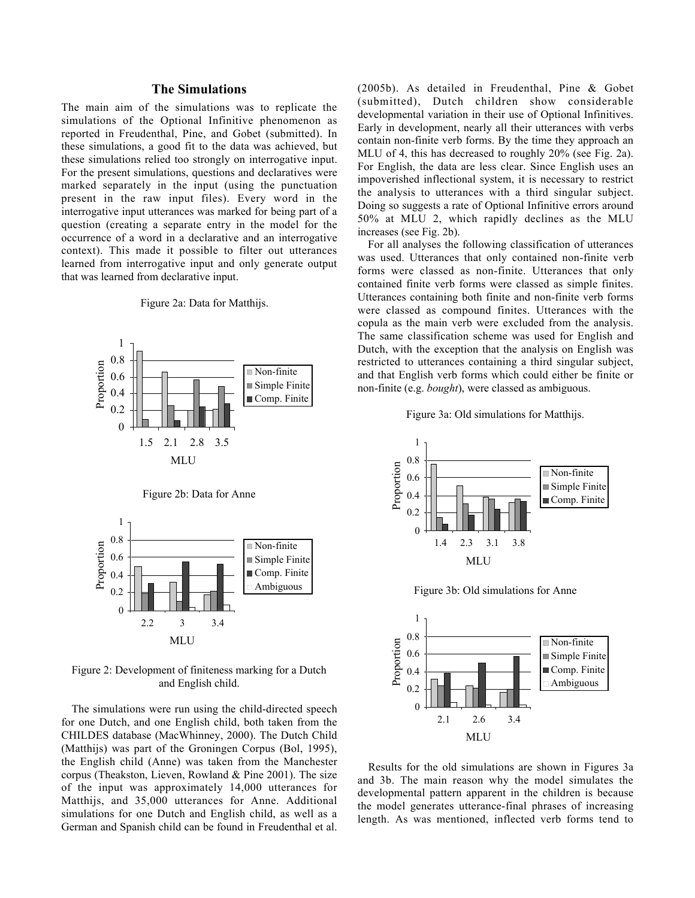# The Simulations

The main aim of the simulations was to replicate the simulations of the Optional Infinitive phenomenon as reported in Freudenthal, Pine, and Gobet (submitted). In these simulations, a good fit to the data was achieved, but these simulations relied too strongly on interrogative input. For the present simulations, questions and declaratives were marked separately in the input (using the punctuation present in the raw input files). Every word in the interrogative input utterances was marked for being part of a question (creating a separate entry in the model for the occurrence of a word in a declarative and an interrogative context). This made it possible to filter out utterances learned from interrogative input and only generate output that was learned from declarative input.



Figure 2a: Data for Matthijs.

Figure 2b: Data for Anne



Figure 2: Development of finiteness marking for a Dutch and English child.

The simulations were run using the child-directed speech for one Dutch, and one English child, both taken from the CHILDES database (MacWhinney, 2000). The Dutch Child (Matthijs) was part of the Groningen Corpus (Bol, 1995), the English child (Anne) was taken from the Manchester corpus (Theakston, Lieven, Rowland & Pine 2001). The size of the input was approximately 14,000 utterances for Matthijs, and 35,000 utterances for Anne. Additional simulations for one Dutch and English child, as well as a German and Spanish child can be found in Freudenthal et al. (2005b). As detailed in Freudenthal, Pine & Gobet (submitted), Dutch children show considerable developmental variation in their use of Optional Infinitives. Early in development, nearly all their utterances with verbs contain non-finite verb forms. By the time they approach an MLU of 4, this has decreased to roughly 20% (see Fig. 2a). For English, the data are less clear. Since English uses an impoverished inflectional system, it is necessary to restrict the analysis to utterances with a third singular subject. Doing so suggests a rate of Optional Infinitive errors around 50% at MLU 2, which rapidly declines as the MLU increases (see Fig. 2b).

For all analyses the following classification of utterances was used. Utterances that only contained non-finite verb forms were classed as non-finite. Utterances that only contained finite verb forms were classed as simple finites. Utterances containing both finite and non-finite verb forms were classed as compound finites. Utterances with the copula as the main verb were excluded from the analysis. The same classification scheme was used for English and Dutch, with the exception that the analysis on English was restricted to utterances containing a third singular subject, and that English verb forms which could either be finite or non-finite (e.g. *bought*), were classed as ambiguous.





Figure 3b: Old simulations for Anne



Results for the old simulations are shown in Figures 3a and 3b. The main reason why the model simulates the developmental pattern apparent in the children is because the model generates utterance-final phrases of increasing length. As was mentioned, inflected verb forms tend to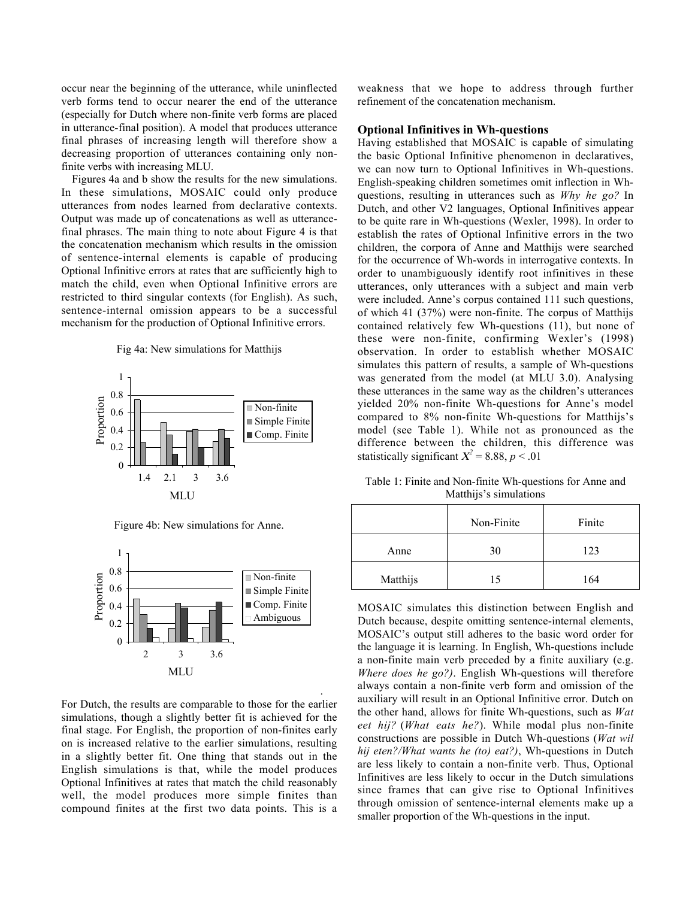occur near the beginning of the utterance, while uninflected verb forms tend to occur nearer the end of the utterance (especially for Dutch where non-finite verb forms are placed in utterance-final position). A model that produces utterance final phrases of increasing length will therefore show a decreasing proportion of utterances containing only nonfinite verbs with increasing MLU.

Figures 4a and b show the results for the new simulations. In these simulations, MOSAIC could only produce utterances from nodes learned from declarative contexts. Output was made up of concatenations as well as utterancefinal phrases. The main thing to note about Figure 4 is that the concatenation mechanism which results in the omission of sentence-internal elements is capable of producing Optional Infinitive errors at rates that are sufficiently high to match the child, even when Optional Infinitive errors are restricted to third singular contexts (for English). As such, sentence-internal omission appears to be a successful mechanism for the production of Optional Infinitive errors.

### Fig 4a: New simulations for Matthijs



Figure 4b: New simulations for Anne.



For Dutch, the results are comparable to those for the earlier simulations, though a slightly better fit is achieved for the final stage. For English, the proportion of non-finites early on is increased relative to the earlier simulations, resulting in a slightly better fit. One thing that stands out in the English simulations is that, while the model produces Optional Infinitives at rates that match the child reasonably well, the model produces more simple finites than compound finites at the first two data points. This is a

.

weakness that we hope to address through further refinement of the concatenation mechanism.

# Optional Infinitives in Wh-questions

Having established that MOSAIC is capable of simulating the basic Optional Infinitive phenomenon in declaratives, we can now turn to Optional Infinitives in Wh-questions. English-speaking children sometimes omit inflection in Whquestions, resulting in utterances such as *Why he go?* In Dutch, and other V2 languages, Optional Infinitives appear to be quite rare in Wh-questions (Wexler, 1998). In order to establish the rates of Optional Infinitive errors in the two children, the corpora of Anne and Matthijs were searched for the occurrence of Wh-words in interrogative contexts. In order to unambiguously identify root infinitives in these utterances, only utterances with a subject and main verb were included. Anne's corpus contained 111 such questions, of which 41 (37%) were non-finite. The corpus of Matthijs contained relatively few Wh-questions (11), but none of these were non-finite, confirming Wexler's (1998) observation. In order to establish whether MOSAIC simulates this pattern of results, a sample of Wh-questions was generated from the model (at MLU 3.0). Analysing these utterances in the same way as the children's utterances yielded 20% non-finite Wh-questions for Anne's model compared to 8% non-finite Wh-questions for Matthijs's model (see Table 1). While not as pronounced as the difference between the children, this difference was statistically significant  $X^2 = 8.88$ ,  $p < .01$ 

Table 1: Finite and Non-finite Wh-questions for Anne and Matthijs's simulations

|          | Non-Finite | Finite |
|----------|------------|--------|
| Anne     | 30         | 123    |
| Matthijs | 15         | 164    |

MOSAIC simulates this distinction between English and Dutch because, despite omitting sentence-internal elements, MOSAIC's output still adheres to the basic word order for the language it is learning. In English, Wh-questions include a non-finite main verb preceded by a finite auxiliary (e.g. *Where does he go?)*. English Wh-questions will therefore always contain a non-finite verb form and omission of the auxiliary will result in an Optional Infinitive error. Dutch on the other hand, allows for finite Wh-questions, such as *Wat eet hij?* (*What eats he?*). While modal plus non-finite constructions are possible in Dutch Wh-questions (*Wat wil hij eten?/What wants he (to) eat?)*, Wh-questions in Dutch are less likely to contain a non-finite verb. Thus, Optional Infinitives are less likely to occur in the Dutch simulations since frames that can give rise to Optional Infinitives through omission of sentence-internal elements make up a smaller proportion of the Wh-questions in the input.